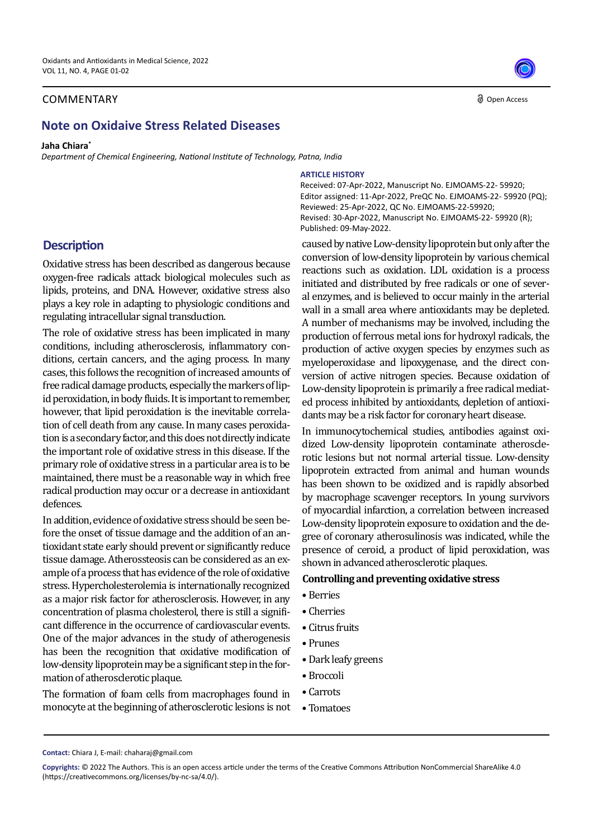## COMMENTARY

# **Note on Oxidaive Stress Related Diseases**

#### **Jaha Chiara\***

*Department of Chemical Engineering, National Institute of Technology, Patna, India*

**ARTICLE HISTORY**

Received: 07-Apr-2022, Manuscript No. EJMOAMS-22- 59920; Editor assigned: 11-Apr-2022, PreQC No. EJMOAMS-22- 59920 (PQ); Reviewed: 25-Apr-2022, QC No. EJMOAMS-22-59920; Revised: 30-Apr-2022, Manuscript No. EJMOAMS-22- 59920 (R); Published: 09-May-2022.

# **Description**

Oxidative stress has been described as dangerous because oxygen-free radicals attack biological molecules such as lipids, proteins, and DNA. However, oxidative stress also plays a key role in adapting to physiologic conditions and regulating intracellular signal transduction.

The role of oxidative stress has been implicated in many conditions, including atherosclerosis, inflammatory conditions, certain cancers, and the aging process. In many cases, this follows the recognition of increased amounts of free radical damage products, especially the markers of lipid peroxidation, in body fluids. It is important to remember, however, that lipid peroxidation is the inevitable correlation of cell death from any cause. In many cases peroxidation is a secondary factor, and this does not directly indicate the important role of oxidative stress in this disease. If the primary role of oxidative stress in a particular area is to be maintained, there must be a reasonable way in which free radical production may occur or a decrease in antioxidant defences.

In addition, evidence of oxidative stress should be seen before the onset of tissue damage and the addition of an antioxidant state early should prevent or significantly reduce tissue damage. Atherossteosis can be considered as an example of a process that has evidence of the role of oxidative stress. Hypercholesterolemia is internationally recognized as a major risk factor for atherosclerosis. However, in any concentration of plasma cholesterol, there is still a significant difference in the occurrence of cardiovascular events. One of the major advances in the study of atherogenesis has been the recognition that oxidative modification of low-density lipoprotein may be a significant step in the formation of atherosclerotic plaque.

The formation of foam cells from macrophages found in monocyte at the beginning of atherosclerotic lesions is not caused by native Low-density lipoprotein but only after the conversion of low-density lipoprotein by various chemical reactions such as oxidation. LDL oxidation is a process initiated and distributed by free radicals or one of several enzymes, and is believed to occur mainly in the arterial wall in a small area where antioxidants may be depleted. A number of mechanisms may be involved, including the production of ferrous metal ions for hydroxyl radicals, the production of active oxygen species by enzymes such as myeloperoxidase and lipoxygenase, and the direct conversion of active nitrogen species. Because oxidation of Low-density lipoprotein is primarily a free radical mediated process inhibited by antioxidants, depletion of antioxidants may be a risk factor for coronary heart disease.

In immunocytochemical studies, antibodies against oxidized Low-density lipoprotein contaminate atherosclerotic lesions but not normal arterial tissue. Low-density lipoprotein extracted from animal and human wounds has been shown to be oxidized and is rapidly absorbed by macrophage scavenger receptors. In young survivors of myocardial infarction, a correlation between increased Low-density lipoprotein exposure to oxidation and the degree of coronary atherosulinosis was indicated, while the presence of ceroid, a product of lipid peroxidation, was shown in advanced atherosclerotic plaques.

### **Controlling and preventing oxidative stress**

- Berries
- Cherries
- Citrus fruits
- Prunes
- Dark leafy greens
- Broccoli
- Carrots
- Tomatoes



Open Access

**Contact:** Chiara J, E-mail: chaharaj@gmail.com

**Copyrights:** © 2022 The Authors. This is an open access article under the terms of the Creative Commons Attribution NonCommercial ShareAlike 4.0 (https://creativecommons.org/licenses/by-nc-sa/4.0/).